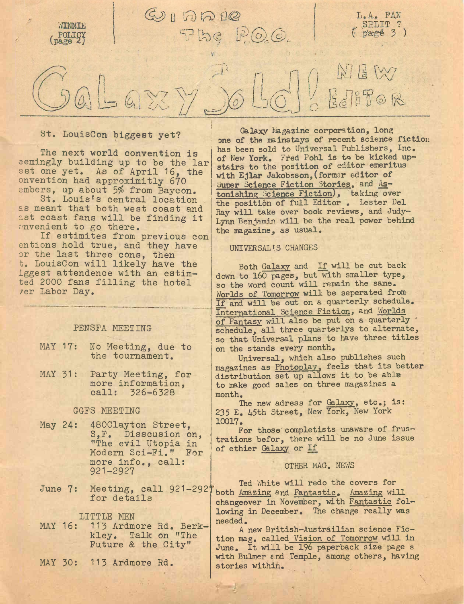

St. LouisCon biggest yet?

The next world convention is eemingly building up to be the lar est one yet. As of April 16, the onvention had approximitly 670 embers, up about 5% from Baycon.

St. Louis's central location as meant that both west coast and ast coast fans will be finding it onvenient to go there.

If estimites from previous con entions hold true, and they have or the last three cons, then t. LouisCon will likely have the iggest attendence with an estimted 2000 fans filling the hotel 7er Labor Bay.

## PENSFA MEETING

- MAY 17: No Meeting, due to the tournament.
- MAY 31: Party Meeting, for more information, call: 326-6328

GGFS MEETING

- May 24: 480Clayton Street, S,F. Disscusion on, ''The evil Utopia in Modern Sci-Fi." For more info., call: 921-2927
- June 7: Meeting, call 921-292' for details

LITTLE MEN

- MAY 16: 113 Ardmore Rd. Berkkley. Talk on "The Future & the City"
- MAY 30: 113 Ardmore Rd.

Galaxy Magazine corporation, long one of the mainstays of recent science fiction has been sold to Universal Publishers, Inc. of New York. Fred Pohl is to be kicked upstairs to the position of editor emeritus with Ejlar Jakobsson,(former editor of Super Science Fiction Stories, and Astonishing Science Fiction), taking over the position of full Editor . Lester Del Ray will take over book reviews, and Judy-Lynn Benjamin will be the real power behind the magazine, as usual.

## UNIVERSAL'S CHANGES

Both Galaxy and If will be cut back down to 160 pages, but with smaller type, so the word count will remain the same. Worlds of Tomorrow will be seperated from If and will be out on a quarterly schedule. International Science Fiction, and Worlds of Fantasy will also be put on a quarterly ' schedule, all three quarterlys to alternate, so that Universal plans to have three titles on the stands every month.

Universal, which also publishes such magazines as Photoplay, feels that its better distribution set up allows it to be able to make good sales on three magazines a month.

The new adress for Galaxy, etc.; is: 235 E. 45th Street, New York, New York 10017.

For those completists unaware of frustrations befor, there will be no June issue of ethier Galaxy or If

## OTHER MAG. NEWS

Ted White will redo the covers for both Amazing and Fantastic. Amazing will changeover in November, with Fantastic following in December. The change really was needed.

A new British-Austrailian science Fiction mag. called Vision of Tomorrow will in June. It will be 196 paperback size page s with Bulmer and Temple, among others, having stories within.

 $\mathcal{F} = \mathcal{F}$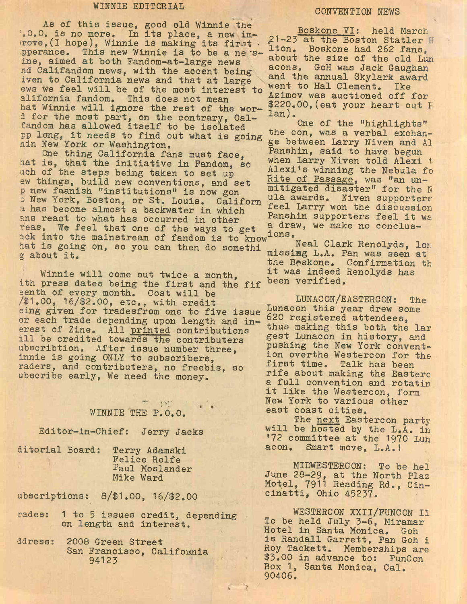## WINNIE EDITORIAL CONVENTION NEWS

As of this issue, good old Winnie the '.0.0. is no more. In its place, a new im- >rove,(I hope), Winnie is making its first • pperance. This new Winnie is to be a ne"sine, aimed at both Fandom-at-large news nd Califandom news, with the accent being iven to California news and that at large ews we feel will be of the most interest to alifomia fandom. This does not mean hat Winnie will ignore the rest of the word for the most part, on the contrary, Calfandom has allowed itself to be isolated pp long, it needs to find out what is going nin New York or Washington.

One thing California fans must face, bat is, that the initiative in Fandom, so uch of the steps being taken to set up ew things, build new conventions, and set p new faanish ''institutions" is now gon b New York, Boston, or St. Louis. Californ a has become almost a backwater in which ans react to what has occurred in other reas. We feel that one of the ways to get ack into the mainstream of fandom is to know<sup>ions</sup>. hat is going on, so you can then do somethi g about it.

Winnie will come out twice a month, ith press dates being the first and the fif eenth of every month. Cost will be /\$1.00, 16/\$2.OO, etc,, with credit eing given for tradesfrom one to five issue or each trade depending upon length and inerest of Zine. All printed contributions ill be credited towards the contributers ubscribtion. After issue number three, innie is going ONLY to subscribers, raders, and contributers, no freebis, so ubscribe early, We need the money.

# WINNIE THE P.O.O.

Editor-in-Chief: Jerry Jacks

ditorial Board: Terry Adamski Felice Rolfe Paul Moslander Mike Ward

ubscriptions: 8/\$1.00, 16/\$2.00

- rades: <sup>1</sup> to 5 issues credit, depending on length and interest.
- ddress: 2008 Green Street San Francisco, California 94123

Boskone VI: held March ^1—23 at the Boston Statler <sup>H</sup> lton. Boskone had 262 fans, about the size of the old Lun aeons. GoH was Jack Gaughan and the annual Skylark award went to Hal Clement. Ike Azimov was auctioned off for \$220.00, (eat your heart out E lan) •

One of the "highlights" the con, was a verbal exchange between Larry Niven and Al Fanshin, said to have begun when Larry Niven told Alexi t Alexi's winning the Nebula fo Rite of Passage, was "an unmitigated disaster" for the N ula awards. Niven supporters feel Larry won the discussion Panshin supporters feel it wa a draw, we make no conclus-

Neal Clark Renolyds, lor missing L.A. Fan was seen at the Boskone. Confirmation th it was indeed Renolyds has been verified.

LUNACON/EASTERCON: The Lunacon this year drew some 620 registered attendees, thus making this both the lar gest Lunacon in history, and pushing the New York convention overthe Westercon for the first time. Talk has been rife about making the Easterc a full convention and rotatin it like the Westercon, form New York to various other east coast cities.

The next Eastercon party will be hosted by the L.A. in \*72 committee at the 1970 Lun acon. Smart move, L.A.!

MIDWESTERCON: To be hel June 28-29, at the North Plaz Motel, 7911 Reading Rd., Cincinatti, Ohio 45237.

WESTERCON XXIl/FUNCON II To be held July 3-6, Miramar Hotel in Santa Monica. Goh is Randall Garrett, Fan Goh i Roy Tackett. Memberships are \$3.00 in advance to: FunCon Box 1, Santa Monica, Cal. 90406.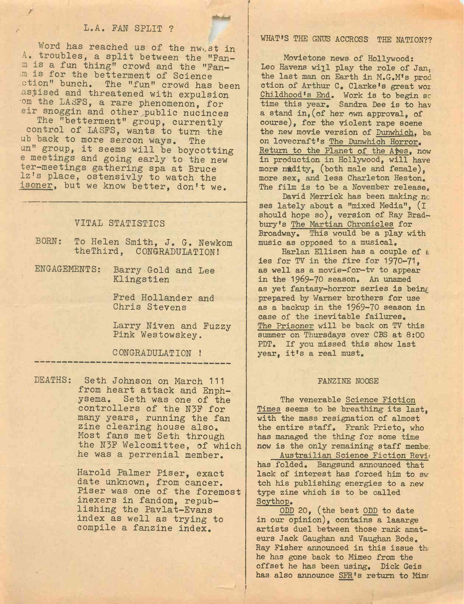## L.A. FAN SPLIT ?

Word has reached us of the nwest in A. troubles, a split between the "Fanm is a fun thing" crowd and the "Fan m is for the betterment of Science ction" bunch. The "fun" crowd has been astised and threatened with expulsion om the LASFS, a rare phenomenon, for eir snoggin and other public nucinces

The "betterment" group, currently control of LASFS, wants to turn the ub back to more sercon ways. The un" group, it seems will be boycotting e meetings and going early to the new ter-meetings gathering spa at Bruce Iz's place, ostensivly to watch the isoner, but we know better, don't we.

## VITAL STATISTICS

- BORN: To Helen Smith, J. G. Newkom theThird, CONGRADULATION!
- ENGAGEMENTS: Barry Gold and Lee Klingstien

Fred Hollander and Chris Stevens

Larry Niven and Fuzzy Pink Westowskey.

CONGRADULATION !

DEATHS: Seth Johnson on March 111 from heart attack and Enphysema. Seth was one of the controllers of the N5F for many years, running the fan zine clearing house also. Most fans met Seth through the N3F Welcomittee, of which he was a perrenial member.

> Harold Palmer Piser, exact date unknown, from cancer. Piser was one of the foremost inexers in fandom, republishing the Pavlat-Evans index as well as trying to compile a fanzine index.

## WHAT'S THE GNUS ACCROSS THE NATION??

Movietone news of Hollywood: Leo Havens will play the role of Jan. the last man on Earth in M.G.M's prod ction of Arthur 0, Clarke's great woi Childhood's End. Work is to begin so time this year. Sandra Dee is to hav a stand in,(of her own approval, of course), for the violent rape scene the new movie version of Dunwhich, ba on lovecraft's The Dunwhich Horror. Return to the Planet of the Apes, now in production in Hollywood, will have more nudity, (both male and female), more sex, and less Charleton Heston, The film is to be a November release.

David Merrick has been making no ses lately about a "mixed Media", (I should hope so), version of Ray Bradbury's The Martian Chronicles for Broadway. This would be a play with music as opposed to a musical,

Harlan Ellison has a couple of *t* ies for TV in the fire for 1970-71, as well as a movie-for-tv to appear in the 1969-70 season. An unamed as yet fantasy-horror series is being prepared by Warner brothers for use as a backup in the 1969-70 season in case of the inevitable failures. The Prisoner will be back on TV this summer on Thursdays over CBS at 8:00 PDT, If you missed this show last year, it'<sup>s</sup> a real must.

### FANZINE NOOSE

The venerable Science Fiction Times seems to be breathing its last, with the mass resignation of almost the entire staff. Frank Prieto, who has managed the thing for some time now is the only remaining staff membe;

Austrailian Science Fiction Revi<sup>&</sup>lt; has folded. Bangsund announced that lack of interest has forced him to sw tch his publishing energies to a new type zine which is to be called Scythop.

ODD 20, (the best ODD to date in our opinion), contains a laaarge artists duel between those rank amateurs Jack Gaughan and Vaughan Bode. Ray Fisher announced in this issue th; he has gone back to Mimeo from the offset he has been using. Dick Geis has also announce SFR's return to Mime